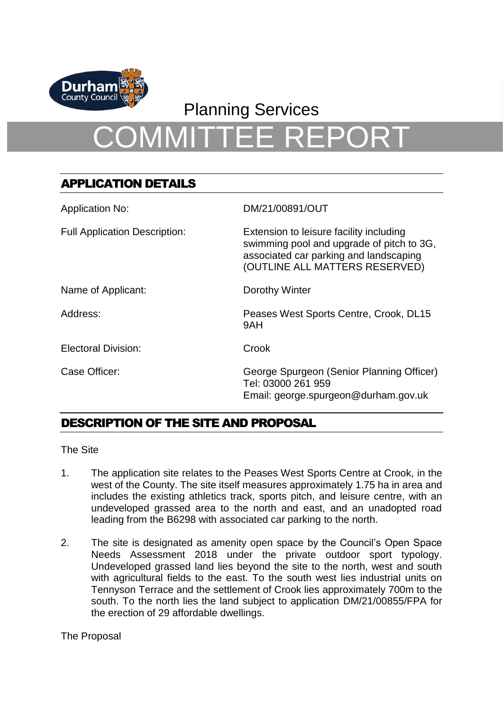

## Planning Services

# COMMITTEE REPORT

## APPLICATION DETAILS

| <b>Application No:</b>               | DM/21/00891/OUT                                                                                                                                                  |
|--------------------------------------|------------------------------------------------------------------------------------------------------------------------------------------------------------------|
| <b>Full Application Description:</b> | Extension to leisure facility including<br>swimming pool and upgrade of pitch to 3G,<br>associated car parking and landscaping<br>(OUTLINE ALL MATTERS RESERVED) |
| Name of Applicant:                   | Dorothy Winter                                                                                                                                                   |
| Address:                             | Peases West Sports Centre, Crook, DL15<br>9AH                                                                                                                    |
| <b>Electoral Division:</b>           | Crook                                                                                                                                                            |
| Case Officer:                        | George Spurgeon (Senior Planning Officer)<br>Tel: 03000 261 959<br>Email: george.spurgeon@durham.gov.uk                                                          |

## DESCRIPTION OF THE SITE AND PROPOSAL

The Site

- 1. The application site relates to the Peases West Sports Centre at Crook, in the west of the County. The site itself measures approximately 1.75 ha in area and includes the existing athletics track, sports pitch, and leisure centre, with an undeveloped grassed area to the north and east, and an unadopted road leading from the B6298 with associated car parking to the north.
- 2. The site is designated as amenity open space by the Council's Open Space Needs Assessment 2018 under the private outdoor sport typology. Undeveloped grassed land lies beyond the site to the north, west and south with agricultural fields to the east. To the south west lies industrial units on Tennyson Terrace and the settlement of Crook lies approximately 700m to the south. To the north lies the land subject to application DM/21/00855/FPA for the erection of 29 affordable dwellings.

The Proposal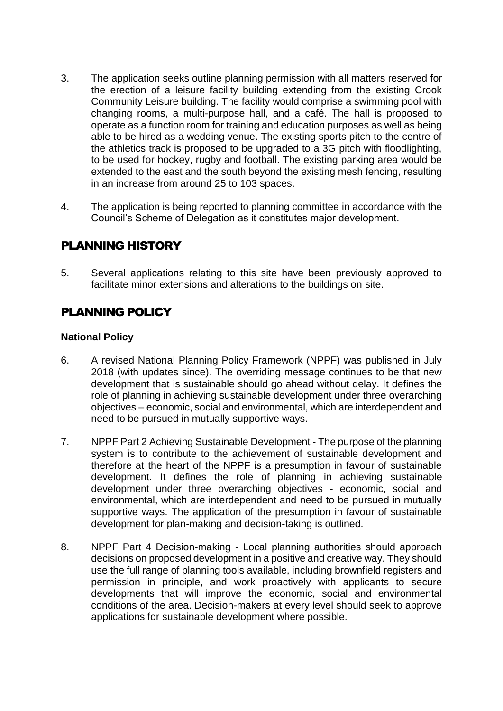- 3. The application seeks outline planning permission with all matters reserved for the erection of a leisure facility building extending from the existing Crook Community Leisure building. The facility would comprise a swimming pool with changing rooms, a multi-purpose hall, and a café. The hall is proposed to operate as a function room for training and education purposes as well as being able to be hired as a wedding venue. The existing sports pitch to the centre of the athletics track is proposed to be upgraded to a 3G pitch with floodlighting, to be used for hockey, rugby and football. The existing parking area would be extended to the east and the south beyond the existing mesh fencing, resulting in an increase from around 25 to 103 spaces.
- 4. The application is being reported to planning committee in accordance with the Council's Scheme of Delegation as it constitutes major development.

## PLANNING HISTORY

5. Several applications relating to this site have been previously approved to facilitate minor extensions and alterations to the buildings on site.

## PLANNING POLICY

## **National Policy**

- 6. A revised National Planning Policy Framework (NPPF) was published in July 2018 (with updates since). The overriding message continues to be that new development that is sustainable should go ahead without delay. It defines the role of planning in achieving sustainable development under three overarching objectives – economic, social and environmental, which are interdependent and need to be pursued in mutually supportive ways.
- 7. NPPF Part 2 Achieving Sustainable Development The purpose of the planning system is to contribute to the achievement of sustainable development and therefore at the heart of the NPPF is a presumption in favour of sustainable development. It defines the role of planning in achieving sustainable development under three overarching objectives - economic, social and environmental, which are interdependent and need to be pursued in mutually supportive ways. The application of the presumption in favour of sustainable development for plan-making and decision-taking is outlined.
- 8. NPPF Part 4 Decision-making Local planning authorities should approach decisions on proposed development in a positive and creative way. They should use the full range of planning tools available, including brownfield registers and permission in principle, and work proactively with applicants to secure developments that will improve the economic, social and environmental conditions of the area. Decision-makers at every level should seek to approve applications for sustainable development where possible.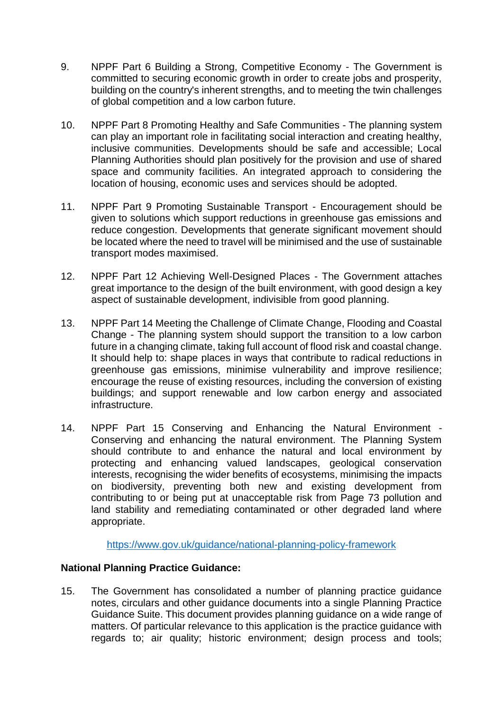- 9. NPPF Part 6 Building a Strong, Competitive Economy The Government is committed to securing economic growth in order to create jobs and prosperity, building on the country's inherent strengths, and to meeting the twin challenges of global competition and a low carbon future.
- 10. NPPF Part 8 Promoting Healthy and Safe Communities The planning system can play an important role in facilitating social interaction and creating healthy, inclusive communities. Developments should be safe and accessible; Local Planning Authorities should plan positively for the provision and use of shared space and community facilities. An integrated approach to considering the location of housing, economic uses and services should be adopted.
- 11. NPPF Part 9 Promoting Sustainable Transport Encouragement should be given to solutions which support reductions in greenhouse gas emissions and reduce congestion. Developments that generate significant movement should be located where the need to travel will be minimised and the use of sustainable transport modes maximised.
- 12. NPPF Part 12 Achieving Well-Designed Places The Government attaches great importance to the design of the built environment, with good design a key aspect of sustainable development, indivisible from good planning.
- 13. NPPF Part 14 Meeting the Challenge of Climate Change, Flooding and Coastal Change - The planning system should support the transition to a low carbon future in a changing climate, taking full account of flood risk and coastal change. It should help to: shape places in ways that contribute to radical reductions in greenhouse gas emissions, minimise vulnerability and improve resilience; encourage the reuse of existing resources, including the conversion of existing buildings; and support renewable and low carbon energy and associated infrastructure.
- 14. NPPF Part 15 Conserving and Enhancing the Natural Environment Conserving and enhancing the natural environment. The Planning System should contribute to and enhance the natural and local environment by protecting and enhancing valued landscapes, geological conservation interests, recognising the wider benefits of ecosystems, minimising the impacts on biodiversity, preventing both new and existing development from contributing to or being put at unacceptable risk from Page 73 pollution and land stability and remediating contaminated or other degraded land where appropriate.

<https://www.gov.uk/guidance/national-planning-policy-framework>

## **National Planning Practice Guidance:**

15. The Government has consolidated a number of planning practice guidance notes, circulars and other guidance documents into a single Planning Practice Guidance Suite. This document provides planning guidance on a wide range of matters. Of particular relevance to this application is the practice guidance with regards to; air quality; historic environment; design process and tools;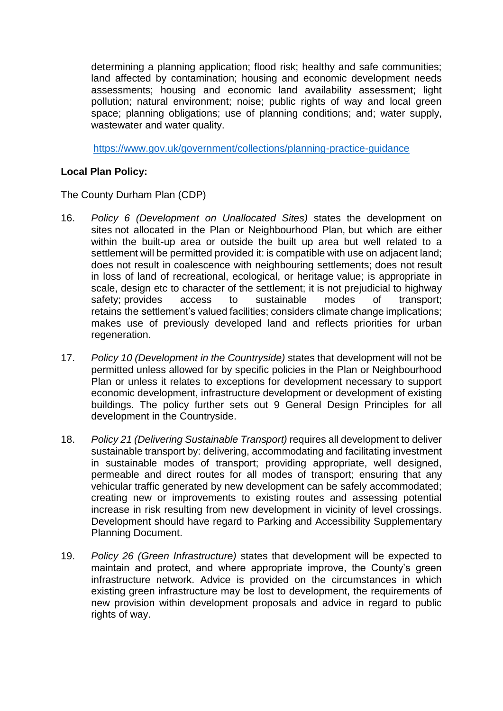determining a planning application; flood risk; healthy and safe communities; land affected by contamination; housing and economic development needs assessments; housing and economic land availability assessment; light pollution; natural environment; noise; public rights of way and local green space; planning obligations; use of planning conditions; and; water supply, wastewater and water quality.

<https://www.gov.uk/government/collections/planning-practice-guidance>

## **Local Plan Policy:**

The County Durham Plan (CDP)

- 16. *Policy 6 (Development on Unallocated Sites)* states the development on sites not allocated in the Plan or Neighbourhood Plan, but which are either within the built-up area or outside the built up area but well related to a settlement will be permitted provided it: is compatible with use on adjacent land; does not result in coalescence with neighbouring settlements; does not result in loss of land of recreational, ecological, or heritage value; is appropriate in scale, design etc to character of the settlement; it is not prejudicial to highway safety; provides access to sustainable modes of transport; retains the settlement's valued facilities; considers climate change implications; makes use of previously developed land and reflects priorities for urban regeneration.
- 17. *Policy 10 (Development in the Countryside)* states that development will not be permitted unless allowed for by specific policies in the Plan or Neighbourhood Plan or unless it relates to exceptions for development necessary to support economic development, infrastructure development or development of existing buildings. The policy further sets out 9 General Design Principles for all development in the Countryside.
- 18. *Policy 21 (Delivering Sustainable Transport)* requires all development to deliver sustainable transport by: delivering, accommodating and facilitating investment in sustainable modes of transport; providing appropriate, well designed, permeable and direct routes for all modes of transport; ensuring that any vehicular traffic generated by new development can be safely accommodated; creating new or improvements to existing routes and assessing potential increase in risk resulting from new development in vicinity of level crossings. Development should have regard to Parking and Accessibility Supplementary Planning Document.
- 19. *Policy 26 (Green Infrastructure)* states that development will be expected to maintain and protect, and where appropriate improve, the County's green infrastructure network. Advice is provided on the circumstances in which existing green infrastructure may be lost to development, the requirements of new provision within development proposals and advice in regard to public rights of way.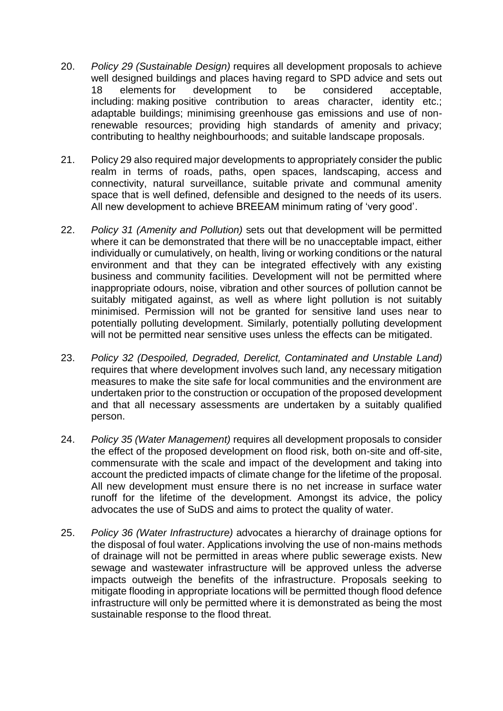- 20. *Policy 29 (Sustainable Design)* requires all development proposals to achieve well designed buildings and places having regard to SPD advice and sets out 18 elements for development to be considered acceptable, including: making positive contribution to areas character, identity etc.; adaptable buildings; minimising greenhouse gas emissions and use of nonrenewable resources; providing high standards of amenity and privacy; contributing to healthy neighbourhoods; and suitable landscape proposals.
- 21. Policy 29 also required major developments to appropriately consider the public realm in terms of roads, paths, open spaces, landscaping, access and connectivity, natural surveillance, suitable private and communal amenity space that is well defined, defensible and designed to the needs of its users. All new development to achieve BREEAM minimum rating of 'very good'.
- 22. *Policy 31 (Amenity and Pollution)* sets out that development will be permitted where it can be demonstrated that there will be no unacceptable impact, either individually or cumulatively, on health, living or working conditions or the natural environment and that they can be integrated effectively with any existing business and community facilities. Development will not be permitted where inappropriate odours, noise, vibration and other sources of pollution cannot be suitably mitigated against, as well as where light pollution is not suitably minimised. Permission will not be granted for sensitive land uses near to potentially polluting development. Similarly, potentially polluting development will not be permitted near sensitive uses unless the effects can be mitigated.
- 23. *Policy 32 (Despoiled, Degraded, Derelict, Contaminated and Unstable Land)* requires that where development involves such land, any necessary mitigation measures to make the site safe for local communities and the environment are undertaken prior to the construction or occupation of the proposed development and that all necessary assessments are undertaken by a suitably qualified person.
- 24. *Policy 35 (Water Management)* requires all development proposals to consider the effect of the proposed development on flood risk, both on-site and off-site, commensurate with the scale and impact of the development and taking into account the predicted impacts of climate change for the lifetime of the proposal. All new development must ensure there is no net increase in surface water runoff for the lifetime of the development. Amongst its advice, the policy advocates the use of SuDS and aims to protect the quality of water.
- 25. *Policy 36 (Water Infrastructure)* advocates a hierarchy of drainage options for the disposal of foul water. Applications involving the use of non-mains methods of drainage will not be permitted in areas where public sewerage exists. New sewage and wastewater infrastructure will be approved unless the adverse impacts outweigh the benefits of the infrastructure. Proposals seeking to mitigate flooding in appropriate locations will be permitted though flood defence infrastructure will only be permitted where it is demonstrated as being the most sustainable response to the flood threat.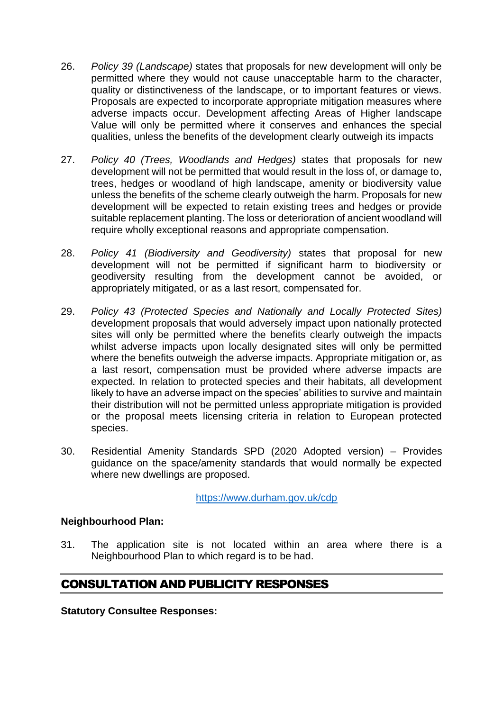- 26. *Policy 39 (Landscape)* states that proposals for new development will only be permitted where they would not cause unacceptable harm to the character, quality or distinctiveness of the landscape, or to important features or views. Proposals are expected to incorporate appropriate mitigation measures where adverse impacts occur. Development affecting Areas of Higher landscape Value will only be permitted where it conserves and enhances the special qualities, unless the benefits of the development clearly outweigh its impacts
- 27. *Policy 40 (Trees, Woodlands and Hedges)* states that proposals for new development will not be permitted that would result in the loss of, or damage to, trees, hedges or woodland of high landscape, amenity or biodiversity value unless the benefits of the scheme clearly outweigh the harm. Proposals for new development will be expected to retain existing trees and hedges or provide suitable replacement planting. The loss or deterioration of ancient woodland will require wholly exceptional reasons and appropriate compensation.
- 28. *Policy 41 (Biodiversity and Geodiversity)* states that proposal for new development will not be permitted if significant harm to biodiversity or geodiversity resulting from the development cannot be avoided, or appropriately mitigated, or as a last resort, compensated for.
- 29. *Policy 43 (Protected Species and Nationally and Locally Protected Sites)* development proposals that would adversely impact upon nationally protected sites will only be permitted where the benefits clearly outweigh the impacts whilst adverse impacts upon locally designated sites will only be permitted where the benefits outweigh the adverse impacts. Appropriate mitigation or, as a last resort, compensation must be provided where adverse impacts are expected. In relation to protected species and their habitats, all development likely to have an adverse impact on the species' abilities to survive and maintain their distribution will not be permitted unless appropriate mitigation is provided or the proposal meets licensing criteria in relation to European protected species.
- 30. Residential Amenity Standards SPD (2020 Adopted version) Provides guidance on the space/amenity standards that would normally be expected where new dwellings are proposed.

<https://www.durham.gov.uk/cdp>

## **Neighbourhood Plan:**

31. The application site is not located within an area where there is a Neighbourhood Plan to which regard is to be had.

## CONSULTATION AND PUBLICITY RESPONSES

**Statutory Consultee Responses:**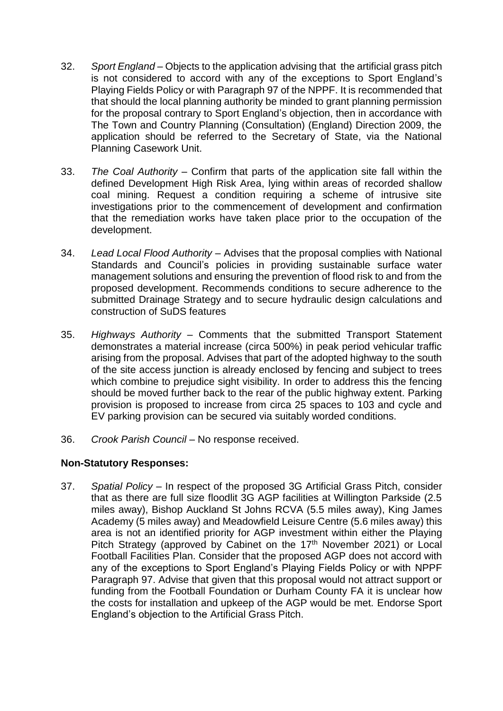- 32. *Sport England* Objects to the application advising that the artificial grass pitch is not considered to accord with any of the exceptions to Sport England's Playing Fields Policy or with Paragraph 97 of the NPPF. It is recommended that that should the local planning authority be minded to grant planning permission for the proposal contrary to Sport England's objection, then in accordance with The Town and Country Planning (Consultation) (England) Direction 2009, the application should be referred to the Secretary of State, via the National Planning Casework Unit.
- 33. *The Coal Authority* Confirm that parts of the application site fall within the defined Development High Risk Area, lying within areas of recorded shallow coal mining. Request a condition requiring a scheme of intrusive site investigations prior to the commencement of development and confirmation that the remediation works have taken place prior to the occupation of the development.
- 34. *Lead Local Flood Authority* Advises that the proposal complies with National Standards and Council's policies in providing sustainable surface water management solutions and ensuring the prevention of flood risk to and from the proposed development. Recommends conditions to secure adherence to the submitted Drainage Strategy and to secure hydraulic design calculations and construction of SuDS features
- 35. *Highways Authority* Comments that the submitted Transport Statement demonstrates a material increase (circa 500%) in peak period vehicular traffic arising from the proposal. Advises that part of the adopted highway to the south of the site access junction is already enclosed by fencing and subject to trees which combine to prejudice sight visibility. In order to address this the fencing should be moved further back to the rear of the public highway extent. Parking provision is proposed to increase from circa 25 spaces to 103 and cycle and EV parking provision can be secured via suitably worded conditions.
- 36. *Crook Parish Council* No response received.

## **Non-Statutory Responses:**

37. *Spatial Policy –* In respect of the proposed 3G Artificial Grass Pitch, consider that as there are full size floodlit 3G AGP facilities at Willington Parkside (2.5 miles away), Bishop Auckland St Johns RCVA (5.5 miles away), King James Academy (5 miles away) and Meadowfield Leisure Centre (5.6 miles away) this area is not an identified priority for AGP investment within either the Playing Pitch Strategy (approved by Cabinet on the 17<sup>th</sup> November 2021) or Local Football Facilities Plan. Consider that the proposed AGP does not accord with any of the exceptions to Sport England's Playing Fields Policy or with NPPF Paragraph 97. Advise that given that this proposal would not attract support or funding from the Football Foundation or Durham County FA it is unclear how the costs for installation and upkeep of the AGP would be met. Endorse Sport England's objection to the Artificial Grass Pitch.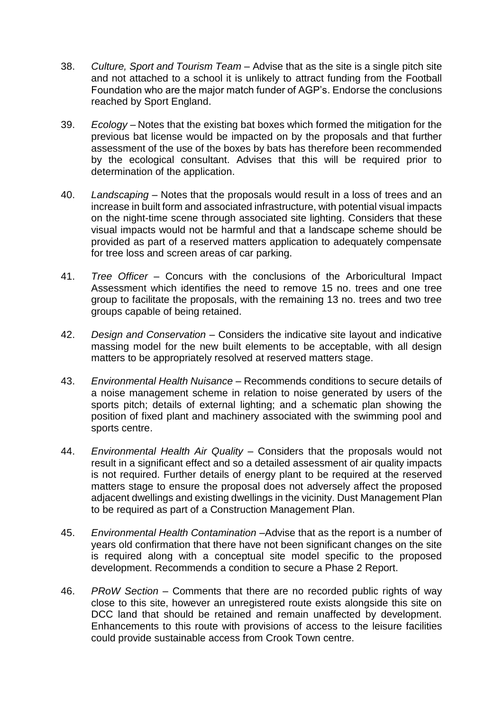- 38. *Culture, Sport and Tourism Team* Advise that as the site is a single pitch site and not attached to a school it is unlikely to attract funding from the Football Foundation who are the major match funder of AGP's. Endorse the conclusions reached by Sport England.
- 39. *Ecology* Notes that the existing bat boxes which formed the mitigation for the previous bat license would be impacted on by the proposals and that further assessment of the use of the boxes by bats has therefore been recommended by the ecological consultant. Advises that this will be required prior to determination of the application.
- 40. *Landscaping* Notes that the proposals would result in a loss of trees and an increase in built form and associated infrastructure, with potential visual impacts on the night-time scene through associated site lighting. Considers that these visual impacts would not be harmful and that a landscape scheme should be provided as part of a reserved matters application to adequately compensate for tree loss and screen areas of car parking.
- 41. *Tree Officer* Concurs with the conclusions of the Arboricultural Impact Assessment which identifies the need to remove 15 no. trees and one tree group to facilitate the proposals, with the remaining 13 no. trees and two tree groups capable of being retained.
- 42. *Design and Conservation* Considers the indicative site layout and indicative massing model for the new built elements to be acceptable, with all design matters to be appropriately resolved at reserved matters stage.
- 43. *Environmental Health Nuisance* Recommends conditions to secure details of a noise management scheme in relation to noise generated by users of the sports pitch; details of external lighting; and a schematic plan showing the position of fixed plant and machinery associated with the swimming pool and sports centre.
- 44. *Environmental Health Air Quality* Considers that the proposals would not result in a significant effect and so a detailed assessment of air quality impacts is not required. Further details of energy plant to be required at the reserved matters stage to ensure the proposal does not adversely affect the proposed adjacent dwellings and existing dwellings in the vicinity. Dust Management Plan to be required as part of a Construction Management Plan.
- 45. *Environmental Health Contamination* –Advise that as the report is a number of years old confirmation that there have not been significant changes on the site is required along with a conceptual site model specific to the proposed development. Recommends a condition to secure a Phase 2 Report.
- 46. *PRoW Section* Comments that there are no recorded public rights of way close to this site, however an unregistered route exists alongside this site on DCC land that should be retained and remain unaffected by development. Enhancements to this route with provisions of access to the leisure facilities could provide sustainable access from Crook Town centre.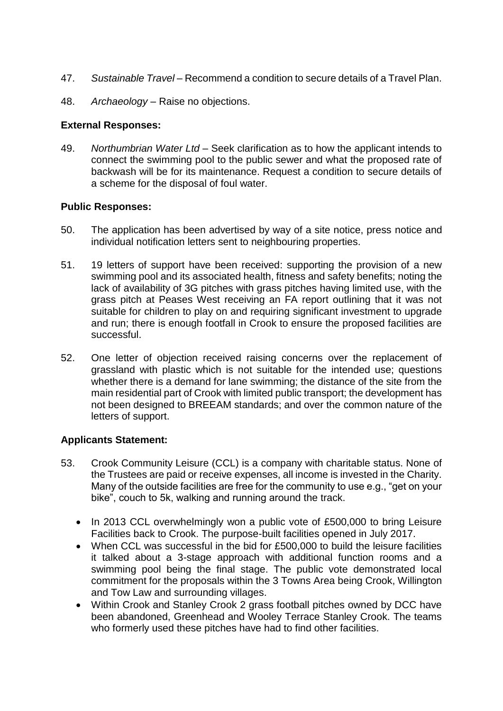- 47. *Sustainable Travel* Recommend a condition to secure details of a Travel Plan.
- 48. *Archaeology* Raise no objections.

## **External Responses:**

49. *Northumbrian Water Ltd* – Seek clarification as to how the applicant intends to connect the swimming pool to the public sewer and what the proposed rate of backwash will be for its maintenance. Request a condition to secure details of a scheme for the disposal of foul water.

## **Public Responses:**

- 50. The application has been advertised by way of a site notice, press notice and individual notification letters sent to neighbouring properties.
- 51. 19 letters of support have been received: supporting the provision of a new swimming pool and its associated health, fitness and safety benefits; noting the lack of availability of 3G pitches with grass pitches having limited use, with the grass pitch at Peases West receiving an FA report outlining that it was not suitable for children to play on and requiring significant investment to upgrade and run; there is enough footfall in Crook to ensure the proposed facilities are successful.
- 52. One letter of objection received raising concerns over the replacement of grassland with plastic which is not suitable for the intended use; questions whether there is a demand for lane swimming; the distance of the site from the main residential part of Crook with limited public transport; the development has not been designed to BREEAM standards; and over the common nature of the letters of support.

## **Applicants Statement:**

- 53. Crook Community Leisure (CCL) is a company with charitable status. None of the Trustees are paid or receive expenses, all income is invested in the Charity. Many of the outside facilities are free for the community to use e.g., "get on your bike", couch to 5k, walking and running around the track.
	- In 2013 CCL overwhelmingly won a public vote of £500,000 to bring Leisure Facilities back to Crook. The purpose-built facilities opened in July 2017.
	- When CCL was successful in the bid for £500,000 to build the leisure facilities it talked about a 3-stage approach with additional function rooms and a swimming pool being the final stage. The public vote demonstrated local commitment for the proposals within the 3 Towns Area being Crook, Willington and Tow Law and surrounding villages.
	- Within Crook and Stanley Crook 2 grass football pitches owned by DCC have been abandoned, Greenhead and Wooley Terrace Stanley Crook. The teams who formerly used these pitches have had to find other facilities.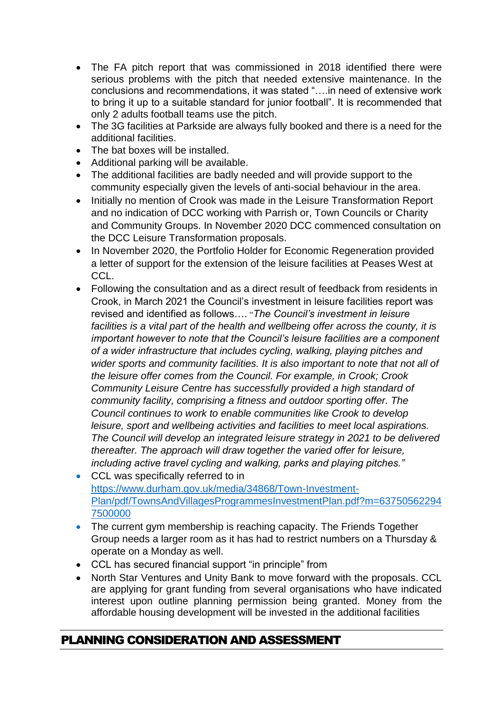- The FA pitch report that was commissioned in 2018 identified there were serious problems with the pitch that needed extensive maintenance. In the conclusions and recommendations, it was stated "….in need of extensive work to bring it up to a suitable standard for junior football". It is recommended that only 2 adults football teams use the pitch.
- The 3G facilities at Parkside are always fully booked and there is a need for the additional facilities.
- The bat boxes will be installed.
- Additional parking will be available.
- The additional facilities are badly needed and will provide support to the community especially given the levels of anti-social behaviour in the area.
- Initially no mention of Crook was made in the Leisure Transformation Report and no indication of DCC working with Parrish or, Town Councils or Charity and Community Groups. In November 2020 DCC commenced consultation on the DCC Leisure Transformation proposals.
- In November 2020, the Portfolio Holder for Economic Regeneration provided a letter of support for the extension of the leisure facilities at Peases West at CCL.
- Following the consultation and as a direct result of feedback from residents in Crook, in March 2021 the Council's investment in leisure facilities report was revised and identified as follows…. "*The Council's investment in leisure facilities is a vital part of the health and wellbeing offer across the county, it is important however to note that the Council's leisure facilities are a component of a wider infrastructure that includes cycling, walking, playing pitches and wider sports and community facilities. It is also important to note that not all of the leisure offer comes from the Council. For example, in Crook; Crook Community Leisure Centre has successfully provided a high standard of community facility, comprising a fitness and outdoor sporting offer. The Council continues to work to enable communities like Crook to develop leisure, sport and wellbeing activities and facilities to meet local aspirations. The Council will develop an integrated leisure strategy in 2021 to be delivered thereafter. The approach will draw together the varied offer for leisure, including active travel cycling and walking, parks and playing pitches."*
- CCL was specifically referred to in [https://www.durham.gov.uk/media/34868/Town-Investment-](https://www.durham.gov.uk/media/34868/Town-Investment-Plan/pdf/TownsAndVillagesProgrammesInvestmentPlan.pdf?m=637505622947500000)[Plan/pdf/TownsAndVillagesProgrammesInvestmentPlan.pdf?m=63750562294](https://www.durham.gov.uk/media/34868/Town-Investment-Plan/pdf/TownsAndVillagesProgrammesInvestmentPlan.pdf?m=637505622947500000) [7500000](https://www.durham.gov.uk/media/34868/Town-Investment-Plan/pdf/TownsAndVillagesProgrammesInvestmentPlan.pdf?m=637505622947500000)
- The current gym membership is reaching capacity. The Friends Together Group needs a larger room as it has had to restrict numbers on a Thursday & operate on a Monday as well.
- CCL has secured financial support "in principle" from
- North Star Ventures and Unity Bank to move forward with the proposals. CCL are applying for grant funding from several organisations who have indicated interest upon outline planning permission being granted. Money from the affordable housing development will be invested in the additional facilities

## PLANNING CONSIDERATION AND ASSESSMENT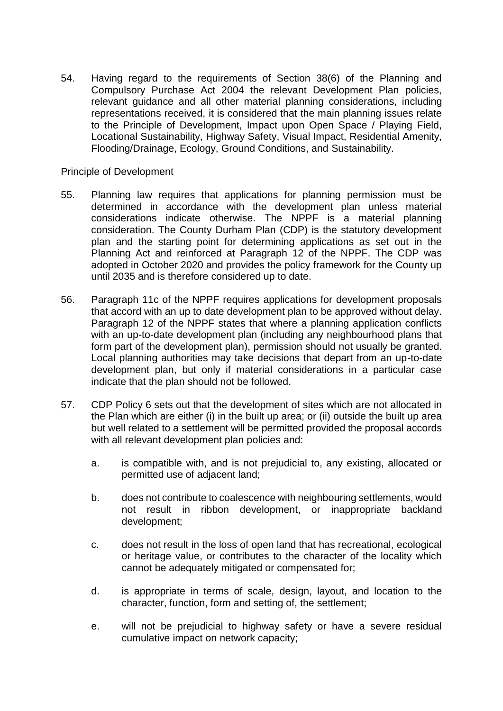54. Having regard to the requirements of Section 38(6) of the Planning and Compulsory Purchase Act 2004 the relevant Development Plan policies, relevant guidance and all other material planning considerations, including representations received, it is considered that the main planning issues relate to the Principle of Development, Impact upon Open Space / Playing Field, Locational Sustainability, Highway Safety, Visual Impact, Residential Amenity, Flooding/Drainage, Ecology, Ground Conditions, and Sustainability.

#### Principle of Development

- 55. Planning law requires that applications for planning permission must be determined in accordance with the development plan unless material considerations indicate otherwise. The NPPF is a material planning consideration. The County Durham Plan (CDP) is the statutory development plan and the starting point for determining applications as set out in the Planning Act and reinforced at Paragraph 12 of the NPPF. The CDP was adopted in October 2020 and provides the policy framework for the County up until 2035 and is therefore considered up to date.
- 56. Paragraph 11c of the NPPF requires applications for development proposals that accord with an up to date development plan to be approved without delay. Paragraph 12 of the NPPF states that where a planning application conflicts with an up-to-date development plan (including any neighbourhood plans that form part of the development plan), permission should not usually be granted. Local planning authorities may take decisions that depart from an up-to-date development plan, but only if material considerations in a particular case indicate that the plan should not be followed.
- 57. CDP Policy 6 sets out that the development of sites which are not allocated in the Plan which are either (i) in the built up area; or (ii) outside the built up area but well related to a settlement will be permitted provided the proposal accords with all relevant development plan policies and:
	- a. is compatible with, and is not prejudicial to, any existing, allocated or permitted use of adjacent land;
	- b. does not contribute to coalescence with neighbouring settlements, would not result in ribbon development, or inappropriate backland development;
	- c. does not result in the loss of open land that has recreational, ecological or heritage value, or contributes to the character of the locality which cannot be adequately mitigated or compensated for;
	- d. is appropriate in terms of scale, design, layout, and location to the character, function, form and setting of, the settlement;
	- e. will not be prejudicial to highway safety or have a severe residual cumulative impact on network capacity;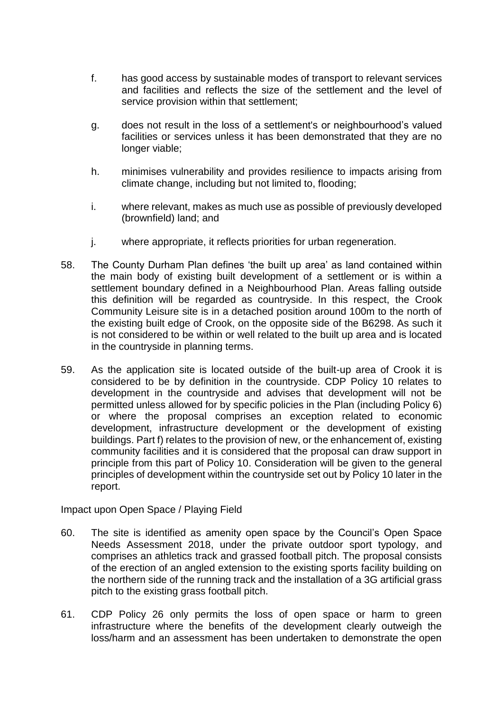- f. has good access by sustainable modes of transport to relevant services and facilities and reflects the size of the settlement and the level of service provision within that settlement;
- g. does not result in the loss of a settlement's or neighbourhood's valued facilities or services unless it has been demonstrated that they are no longer viable;
- h. minimises vulnerability and provides resilience to impacts arising from climate change, including but not limited to, flooding;
- i. where relevant, makes as much use as possible of previously developed (brownfield) land; and
- j. where appropriate, it reflects priorities for urban regeneration.
- 58. The County Durham Plan defines 'the built up area' as land contained within the main body of existing built development of a settlement or is within a settlement boundary defined in a Neighbourhood Plan. Areas falling outside this definition will be regarded as countryside. In this respect, the Crook Community Leisure site is in a detached position around 100m to the north of the existing built edge of Crook, on the opposite side of the B6298. As such it is not considered to be within or well related to the built up area and is located in the countryside in planning terms.
- 59. As the application site is located outside of the built-up area of Crook it is considered to be by definition in the countryside. CDP Policy 10 relates to development in the countryside and advises that development will not be permitted unless allowed for by specific policies in the Plan (including Policy 6) or where the proposal comprises an exception related to economic development, infrastructure development or the development of existing buildings. Part f) relates to the provision of new, or the enhancement of, existing community facilities and it is considered that the proposal can draw support in principle from this part of Policy 10. Consideration will be given to the general principles of development within the countryside set out by Policy 10 later in the report.

Impact upon Open Space / Playing Field

- 60. The site is identified as amenity open space by the Council's Open Space Needs Assessment 2018, under the private outdoor sport typology, and comprises an athletics track and grassed football pitch. The proposal consists of the erection of an angled extension to the existing sports facility building on the northern side of the running track and the installation of a 3G artificial grass pitch to the existing grass football pitch.
- 61. CDP Policy 26 only permits the loss of open space or harm to green infrastructure where the benefits of the development clearly outweigh the loss/harm and an assessment has been undertaken to demonstrate the open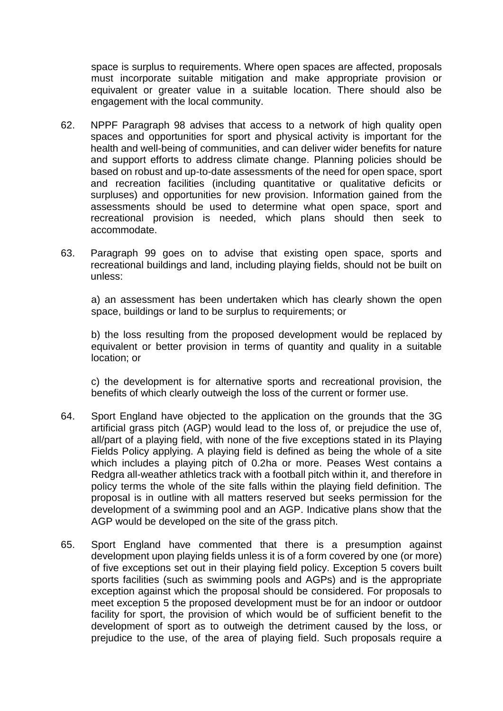space is surplus to requirements. Where open spaces are affected, proposals must incorporate suitable mitigation and make appropriate provision or equivalent or greater value in a suitable location. There should also be engagement with the local community.

- 62. NPPF Paragraph 98 advises that access to a network of high quality open spaces and opportunities for sport and physical activity is important for the health and well-being of communities, and can deliver wider benefits for nature and support efforts to address climate change. Planning policies should be based on robust and up-to-date assessments of the need for open space, sport and recreation facilities (including quantitative or qualitative deficits or surpluses) and opportunities for new provision. Information gained from the assessments should be used to determine what open space, sport and recreational provision is needed, which plans should then seek to accommodate.
- 63. Paragraph 99 goes on to advise that existing open space, sports and recreational buildings and land, including playing fields, should not be built on unless:

a) an assessment has been undertaken which has clearly shown the open space, buildings or land to be surplus to requirements; or

b) the loss resulting from the proposed development would be replaced by equivalent or better provision in terms of quantity and quality in a suitable location; or

c) the development is for alternative sports and recreational provision, the benefits of which clearly outweigh the loss of the current or former use.

- 64. Sport England have objected to the application on the grounds that the 3G artificial grass pitch (AGP) would lead to the loss of, or prejudice the use of, all/part of a playing field, with none of the five exceptions stated in its Playing Fields Policy applying. A playing field is defined as being the whole of a site which includes a playing pitch of 0.2ha or more. Peases West contains a Redgra all-weather athletics track with a football pitch within it, and therefore in policy terms the whole of the site falls within the playing field definition. The proposal is in outline with all matters reserved but seeks permission for the development of a swimming pool and an AGP. Indicative plans show that the AGP would be developed on the site of the grass pitch.
- 65. Sport England have commented that there is a presumption against development upon playing fields unless it is of a form covered by one (or more) of five exceptions set out in their playing field policy. Exception 5 covers built sports facilities (such as swimming pools and AGPs) and is the appropriate exception against which the proposal should be considered. For proposals to meet exception 5 the proposed development must be for an indoor or outdoor facility for sport, the provision of which would be of sufficient benefit to the development of sport as to outweigh the detriment caused by the loss, or prejudice to the use, of the area of playing field. Such proposals require a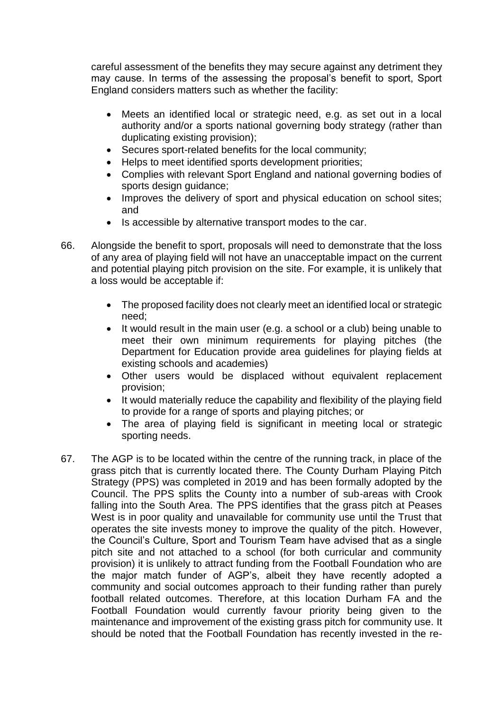careful assessment of the benefits they may secure against any detriment they may cause. In terms of the assessing the proposal's benefit to sport, Sport England considers matters such as whether the facility:

- Meets an identified local or strategic need, e.g. as set out in a local authority and/or a sports national governing body strategy (rather than duplicating existing provision);
- Secures sport-related benefits for the local community;
- Helps to meet identified sports development priorities;
- Complies with relevant Sport England and national governing bodies of sports design guidance;
- Improves the delivery of sport and physical education on school sites; and
- Is accessible by alternative transport modes to the car.
- 66. Alongside the benefit to sport, proposals will need to demonstrate that the loss of any area of playing field will not have an unacceptable impact on the current and potential playing pitch provision on the site. For example, it is unlikely that a loss would be acceptable if:
	- The proposed facility does not clearly meet an identified local or strategic need;
	- It would result in the main user (e.g. a school or a club) being unable to meet their own minimum requirements for playing pitches (the Department for Education provide area guidelines for playing fields at existing schools and academies)
	- Other users would be displaced without equivalent replacement provision;
	- It would materially reduce the capability and flexibility of the playing field to provide for a range of sports and playing pitches; or
	- The area of playing field is significant in meeting local or strategic sporting needs.
- 67. The AGP is to be located within the centre of the running track, in place of the grass pitch that is currently located there. The County Durham Playing Pitch Strategy (PPS) was completed in 2019 and has been formally adopted by the Council. The PPS splits the County into a number of sub-areas with Crook falling into the South Area. The PPS identifies that the grass pitch at Peases West is in poor quality and unavailable for community use until the Trust that operates the site invests money to improve the quality of the pitch. However, the Council's Culture, Sport and Tourism Team have advised that as a single pitch site and not attached to a school (for both curricular and community provision) it is unlikely to attract funding from the Football Foundation who are the major match funder of AGP's, albeit they have recently adopted a community and social outcomes approach to their funding rather than purely football related outcomes. Therefore, at this location Durham FA and the Football Foundation would currently favour priority being given to the maintenance and improvement of the existing grass pitch for community use. It should be noted that the Football Foundation has recently invested in the re-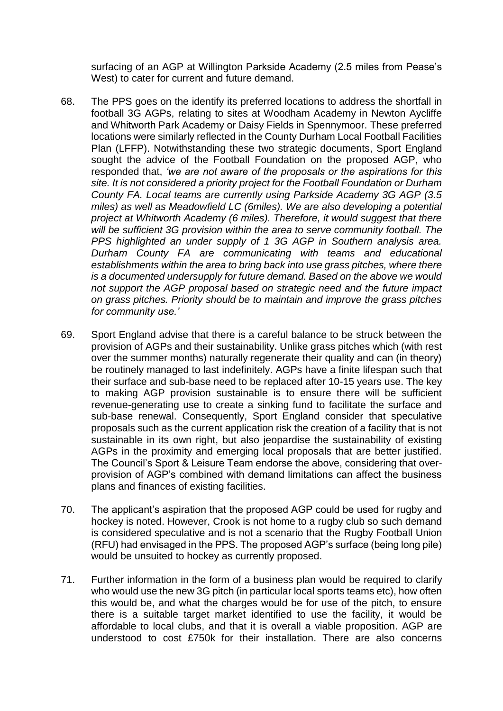surfacing of an AGP at Willington Parkside Academy (2.5 miles from Pease's West) to cater for current and future demand.

- 68. The PPS goes on the identify its preferred locations to address the shortfall in football 3G AGPs, relating to sites at Woodham Academy in Newton Aycliffe and Whitworth Park Academy or Daisy Fields in Spennymoor. These preferred locations were similarly reflected in the County Durham Local Football Facilities Plan (LFFP). Notwithstanding these two strategic documents, Sport England sought the advice of the Football Foundation on the proposed AGP, who responded that, *'we are not aware of the proposals or the aspirations for this site. It is not considered a priority project for the Football Foundation or Durham County FA. Local teams are currently using Parkside Academy 3G AGP (3.5 miles) as well as Meadowfield LC (6miles). We are also developing a potential project at Whitworth Academy (6 miles). Therefore, it would suggest that there will be sufficient 3G provision within the area to serve community football. The PPS highlighted an under supply of 1 3G AGP in Southern analysis area. Durham County FA are communicating with teams and educational establishments within the area to bring back into use grass pitches, where there is a documented undersupply for future demand. Based on the above we would not support the AGP proposal based on strategic need and the future impact on grass pitches. Priority should be to maintain and improve the grass pitches for community use.'*
- 69. Sport England advise that there is a careful balance to be struck between the provision of AGPs and their sustainability. Unlike grass pitches which (with rest over the summer months) naturally regenerate their quality and can (in theory) be routinely managed to last indefinitely. AGPs have a finite lifespan such that their surface and sub-base need to be replaced after 10-15 years use. The key to making AGP provision sustainable is to ensure there will be sufficient revenue-generating use to create a sinking fund to facilitate the surface and sub-base renewal. Consequently, Sport England consider that speculative proposals such as the current application risk the creation of a facility that is not sustainable in its own right, but also jeopardise the sustainability of existing AGPs in the proximity and emerging local proposals that are better justified. The Council's Sport & Leisure Team endorse the above, considering that overprovision of AGP's combined with demand limitations can affect the business plans and finances of existing facilities.
- 70. The applicant's aspiration that the proposed AGP could be used for rugby and hockey is noted. However, Crook is not home to a rugby club so such demand is considered speculative and is not a scenario that the Rugby Football Union (RFU) had envisaged in the PPS. The proposed AGP's surface (being long pile) would be unsuited to hockey as currently proposed.
- 71. Further information in the form of a business plan would be required to clarify who would use the new 3G pitch (in particular local sports teams etc), how often this would be, and what the charges would be for use of the pitch, to ensure there is a suitable target market identified to use the facility, it would be affordable to local clubs, and that it is overall a viable proposition. AGP are understood to cost £750k for their installation. There are also concerns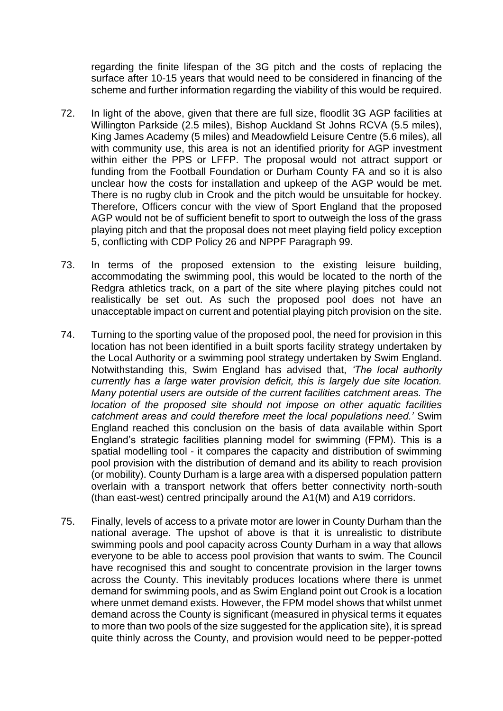regarding the finite lifespan of the 3G pitch and the costs of replacing the surface after 10-15 years that would need to be considered in financing of the scheme and further information regarding the viability of this would be required.

- 72. In light of the above, given that there are full size, floodlit 3G AGP facilities at Willington Parkside (2.5 miles), Bishop Auckland St Johns RCVA (5.5 miles), King James Academy (5 miles) and Meadowfield Leisure Centre (5.6 miles), all with community use, this area is not an identified priority for AGP investment within either the PPS or LFFP. The proposal would not attract support or funding from the Football Foundation or Durham County FA and so it is also unclear how the costs for installation and upkeep of the AGP would be met. There is no rugby club in Crook and the pitch would be unsuitable for hockey. Therefore, Officers concur with the view of Sport England that the proposed AGP would not be of sufficient benefit to sport to outweigh the loss of the grass playing pitch and that the proposal does not meet playing field policy exception 5, conflicting with CDP Policy 26 and NPPF Paragraph 99.
- 73. In terms of the proposed extension to the existing leisure building, accommodating the swimming pool, this would be located to the north of the Redgra athletics track, on a part of the site where playing pitches could not realistically be set out. As such the proposed pool does not have an unacceptable impact on current and potential playing pitch provision on the site.
- 74. Turning to the sporting value of the proposed pool, the need for provision in this location has not been identified in a built sports facility strategy undertaken by the Local Authority or a swimming pool strategy undertaken by Swim England. Notwithstanding this, Swim England has advised that, *'The local authority currently has a large water provision deficit, this is largely due site location. Many potential users are outside of the current facilities catchment areas. The location of the proposed site should not impose on other aquatic facilities catchment areas and could therefore meet the local populations need.'* Swim England reached this conclusion on the basis of data available within Sport England's strategic facilities planning model for swimming (FPM). This is a spatial modelling tool - it compares the capacity and distribution of swimming pool provision with the distribution of demand and its ability to reach provision (or mobility). County Durham is a large area with a dispersed population pattern overlain with a transport network that offers better connectivity north-south (than east-west) centred principally around the A1(M) and A19 corridors.
- 75. Finally, levels of access to a private motor are lower in County Durham than the national average. The upshot of above is that it is unrealistic to distribute swimming pools and pool capacity across County Durham in a way that allows everyone to be able to access pool provision that wants to swim. The Council have recognised this and sought to concentrate provision in the larger towns across the County. This inevitably produces locations where there is unmet demand for swimming pools, and as Swim England point out Crook is a location where unmet demand exists. However, the FPM model shows that whilst unmet demand across the County is significant (measured in physical terms it equates to more than two pools of the size suggested for the application site), it is spread quite thinly across the County, and provision would need to be pepper-potted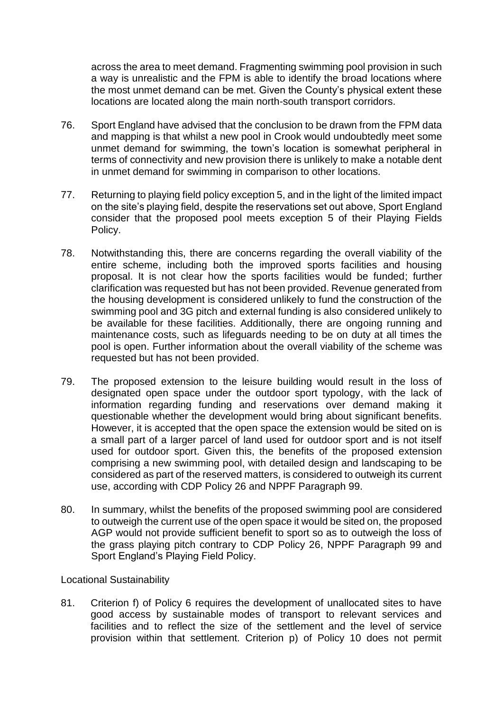across the area to meet demand. Fragmenting swimming pool provision in such a way is unrealistic and the FPM is able to identify the broad locations where the most unmet demand can be met. Given the County's physical extent these locations are located along the main north-south transport corridors.

- 76. Sport England have advised that the conclusion to be drawn from the FPM data and mapping is that whilst a new pool in Crook would undoubtedly meet some unmet demand for swimming, the town's location is somewhat peripheral in terms of connectivity and new provision there is unlikely to make a notable dent in unmet demand for swimming in comparison to other locations.
- 77. Returning to playing field policy exception 5, and in the light of the limited impact on the site's playing field, despite the reservations set out above, Sport England consider that the proposed pool meets exception 5 of their Playing Fields Policy.
- 78. Notwithstanding this, there are concerns regarding the overall viability of the entire scheme, including both the improved sports facilities and housing proposal. It is not clear how the sports facilities would be funded; further clarification was requested but has not been provided. Revenue generated from the housing development is considered unlikely to fund the construction of the swimming pool and 3G pitch and external funding is also considered unlikely to be available for these facilities. Additionally, there are ongoing running and maintenance costs, such as lifeguards needing to be on duty at all times the pool is open. Further information about the overall viability of the scheme was requested but has not been provided.
- 79. The proposed extension to the leisure building would result in the loss of designated open space under the outdoor sport typology, with the lack of information regarding funding and reservations over demand making it questionable whether the development would bring about significant benefits. However, it is accepted that the open space the extension would be sited on is a small part of a larger parcel of land used for outdoor sport and is not itself used for outdoor sport. Given this, the benefits of the proposed extension comprising a new swimming pool, with detailed design and landscaping to be considered as part of the reserved matters, is considered to outweigh its current use, according with CDP Policy 26 and NPPF Paragraph 99.
- 80. In summary, whilst the benefits of the proposed swimming pool are considered to outweigh the current use of the open space it would be sited on, the proposed AGP would not provide sufficient benefit to sport so as to outweigh the loss of the grass playing pitch contrary to CDP Policy 26, NPPF Paragraph 99 and Sport England's Playing Field Policy.

## Locational Sustainability

81. Criterion f) of Policy 6 requires the development of unallocated sites to have good access by sustainable modes of transport to relevant services and facilities and to reflect the size of the settlement and the level of service provision within that settlement. Criterion p) of Policy 10 does not permit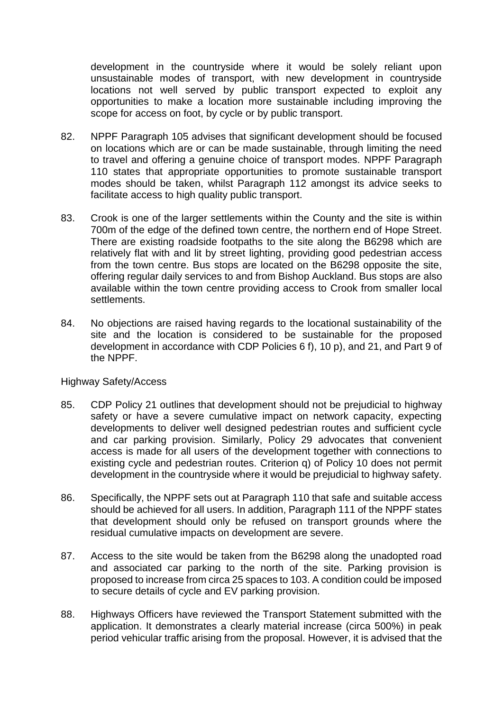development in the countryside where it would be solely reliant upon unsustainable modes of transport, with new development in countryside locations not well served by public transport expected to exploit any opportunities to make a location more sustainable including improving the scope for access on foot, by cycle or by public transport.

- 82. NPPF Paragraph 105 advises that significant development should be focused on locations which are or can be made sustainable, through limiting the need to travel and offering a genuine choice of transport modes. NPPF Paragraph 110 states that appropriate opportunities to promote sustainable transport modes should be taken, whilst Paragraph 112 amongst its advice seeks to facilitate access to high quality public transport.
- 83. Crook is one of the larger settlements within the County and the site is within 700m of the edge of the defined town centre, the northern end of Hope Street. There are existing roadside footpaths to the site along the B6298 which are relatively flat with and lit by street lighting, providing good pedestrian access from the town centre. Bus stops are located on the B6298 opposite the site, offering regular daily services to and from Bishop Auckland. Bus stops are also available within the town centre providing access to Crook from smaller local settlements.
- 84. No objections are raised having regards to the locational sustainability of the site and the location is considered to be sustainable for the proposed development in accordance with CDP Policies 6 f), 10 p), and 21, and Part 9 of the NPPF.

## Highway Safety/Access

- 85. CDP Policy 21 outlines that development should not be prejudicial to highway safety or have a severe cumulative impact on network capacity, expecting developments to deliver well designed pedestrian routes and sufficient cycle and car parking provision. Similarly, Policy 29 advocates that convenient access is made for all users of the development together with connections to existing cycle and pedestrian routes. Criterion q) of Policy 10 does not permit development in the countryside where it would be prejudicial to highway safety.
- 86. Specifically, the NPPF sets out at Paragraph 110 that safe and suitable access should be achieved for all users. In addition, Paragraph 111 of the NPPF states that development should only be refused on transport grounds where the residual cumulative impacts on development are severe.
- 87. Access to the site would be taken from the B6298 along the unadopted road and associated car parking to the north of the site. Parking provision is proposed to increase from circa 25 spaces to 103. A condition could be imposed to secure details of cycle and EV parking provision.
- 88. Highways Officers have reviewed the Transport Statement submitted with the application. It demonstrates a clearly material increase (circa 500%) in peak period vehicular traffic arising from the proposal. However, it is advised that the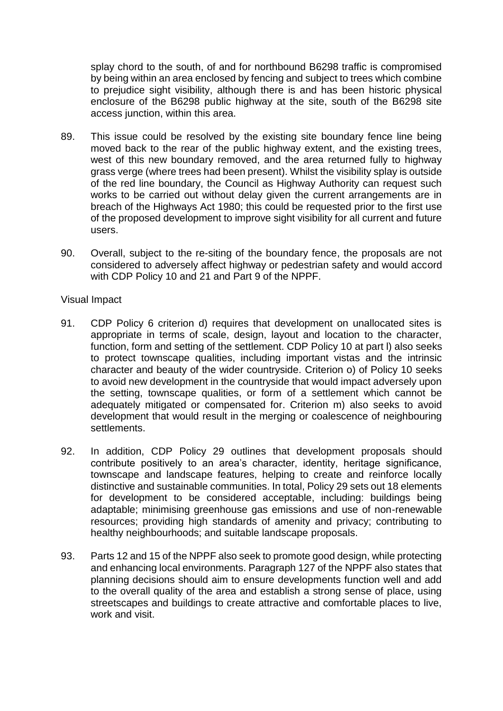splay chord to the south, of and for northbound B6298 traffic is compromised by being within an area enclosed by fencing and subject to trees which combine to prejudice sight visibility, although there is and has been historic physical enclosure of the B6298 public highway at the site, south of the B6298 site access junction, within this area.

- 89. This issue could be resolved by the existing site boundary fence line being moved back to the rear of the public highway extent, and the existing trees, west of this new boundary removed, and the area returned fully to highway grass verge (where trees had been present). Whilst the visibility splay is outside of the red line boundary, the Council as Highway Authority can request such works to be carried out without delay given the current arrangements are in breach of the Highways Act 1980; this could be requested prior to the first use of the proposed development to improve sight visibility for all current and future users.
- 90. Overall, subject to the re-siting of the boundary fence, the proposals are not considered to adversely affect highway or pedestrian safety and would accord with CDP Policy 10 and 21 and Part 9 of the NPPF.

#### Visual Impact

- 91. CDP Policy 6 criterion d) requires that development on unallocated sites is appropriate in terms of scale, design, layout and location to the character, function, form and setting of the settlement. CDP Policy 10 at part l) also seeks to protect townscape qualities, including important vistas and the intrinsic character and beauty of the wider countryside. Criterion o) of Policy 10 seeks to avoid new development in the countryside that would impact adversely upon the setting, townscape qualities, or form of a settlement which cannot be adequately mitigated or compensated for. Criterion m) also seeks to avoid development that would result in the merging or coalescence of neighbouring settlements.
- 92. In addition, CDP Policy 29 outlines that development proposals should contribute positively to an area's character, identity, heritage significance, townscape and landscape features, helping to create and reinforce locally distinctive and sustainable communities. In total, Policy 29 sets out 18 elements for development to be considered acceptable, including: buildings being adaptable; minimising greenhouse gas emissions and use of non-renewable resources; providing high standards of amenity and privacy; contributing to healthy neighbourhoods; and suitable landscape proposals.
- 93. Parts 12 and 15 of the NPPF also seek to promote good design, while protecting and enhancing local environments. Paragraph 127 of the NPPF also states that planning decisions should aim to ensure developments function well and add to the overall quality of the area and establish a strong sense of place, using streetscapes and buildings to create attractive and comfortable places to live, work and visit.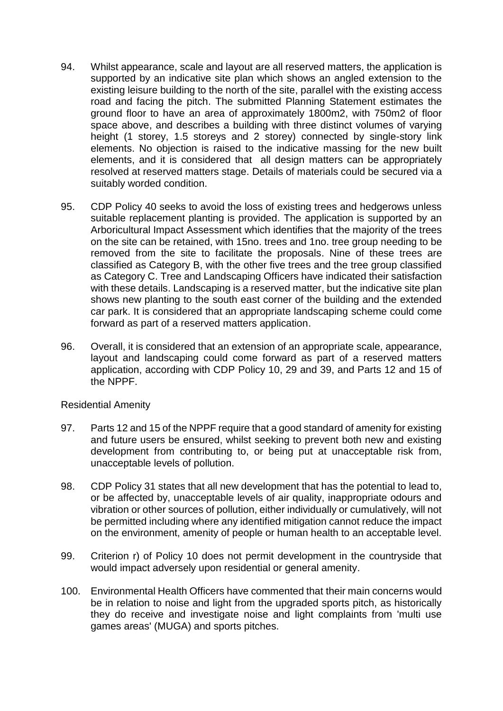- 94. Whilst appearance, scale and layout are all reserved matters, the application is supported by an indicative site plan which shows an angled extension to the existing leisure building to the north of the site, parallel with the existing access road and facing the pitch. The submitted Planning Statement estimates the ground floor to have an area of approximately 1800m2, with 750m2 of floor space above, and describes a building with three distinct volumes of varying height (1 storey, 1.5 storeys and 2 storey) connected by single-story link elements. No objection is raised to the indicative massing for the new built elements, and it is considered that all design matters can be appropriately resolved at reserved matters stage. Details of materials could be secured via a suitably worded condition.
- 95. CDP Policy 40 seeks to avoid the loss of existing trees and hedgerows unless suitable replacement planting is provided. The application is supported by an Arboricultural Impact Assessment which identifies that the majority of the trees on the site can be retained, with 15no. trees and 1no. tree group needing to be removed from the site to facilitate the proposals. Nine of these trees are classified as Category B, with the other five trees and the tree group classified as Category C. Tree and Landscaping Officers have indicated their satisfaction with these details. Landscaping is a reserved matter, but the indicative site plan shows new planting to the south east corner of the building and the extended car park. It is considered that an appropriate landscaping scheme could come forward as part of a reserved matters application.
- 96. Overall, it is considered that an extension of an appropriate scale, appearance, layout and landscaping could come forward as part of a reserved matters application, according with CDP Policy 10, 29 and 39, and Parts 12 and 15 of the NPPF.

Residential Amenity

- 97. Parts 12 and 15 of the NPPF require that a good standard of amenity for existing and future users be ensured, whilst seeking to prevent both new and existing development from contributing to, or being put at unacceptable risk from, unacceptable levels of pollution.
- 98. CDP Policy 31 states that all new development that has the potential to lead to, or be affected by, unacceptable levels of air quality, inappropriate odours and vibration or other sources of pollution, either individually or cumulatively, will not be permitted including where any identified mitigation cannot reduce the impact on the environment, amenity of people or human health to an acceptable level.
- 99. Criterion r) of Policy 10 does not permit development in the countryside that would impact adversely upon residential or general amenity.
- 100. Environmental Health Officers have commented that their main concerns would be in relation to noise and light from the upgraded sports pitch, as historically they do receive and investigate noise and light complaints from 'multi use games areas' (MUGA) and sports pitches.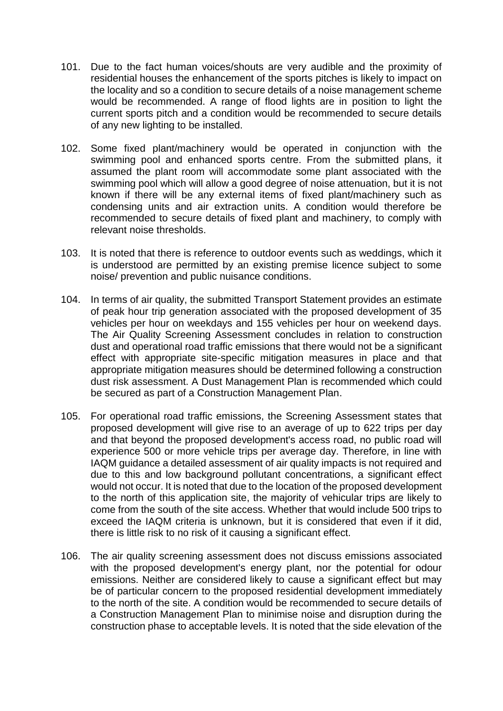- 101. Due to the fact human voices/shouts are very audible and the proximity of residential houses the enhancement of the sports pitches is likely to impact on the locality and so a condition to secure details of a noise management scheme would be recommended. A range of flood lights are in position to light the current sports pitch and a condition would be recommended to secure details of any new lighting to be installed.
- 102. Some fixed plant/machinery would be operated in conjunction with the swimming pool and enhanced sports centre. From the submitted plans, it assumed the plant room will accommodate some plant associated with the swimming pool which will allow a good degree of noise attenuation, but it is not known if there will be any external items of fixed plant/machinery such as condensing units and air extraction units. A condition would therefore be recommended to secure details of fixed plant and machinery, to comply with relevant noise thresholds.
- 103. It is noted that there is reference to outdoor events such as weddings, which it is understood are permitted by an existing premise licence subject to some noise/ prevention and public nuisance conditions.
- 104. In terms of air quality, the submitted Transport Statement provides an estimate of peak hour trip generation associated with the proposed development of 35 vehicles per hour on weekdays and 155 vehicles per hour on weekend days. The Air Quality Screening Assessment concludes in relation to construction dust and operational road traffic emissions that there would not be a significant effect with appropriate site-specific mitigation measures in place and that appropriate mitigation measures should be determined following a construction dust risk assessment. A Dust Management Plan is recommended which could be secured as part of a Construction Management Plan.
- 105. For operational road traffic emissions, the Screening Assessment states that proposed development will give rise to an average of up to 622 trips per day and that beyond the proposed development's access road, no public road will experience 500 or more vehicle trips per average day. Therefore, in line with IAQM guidance a detailed assessment of air quality impacts is not required and due to this and low background pollutant concentrations, a significant effect would not occur. It is noted that due to the location of the proposed development to the north of this application site, the majority of vehicular trips are likely to come from the south of the site access. Whether that would include 500 trips to exceed the IAQM criteria is unknown, but it is considered that even if it did, there is little risk to no risk of it causing a significant effect.
- 106. The air quality screening assessment does not discuss emissions associated with the proposed development's energy plant, nor the potential for odour emissions. Neither are considered likely to cause a significant effect but may be of particular concern to the proposed residential development immediately to the north of the site. A condition would be recommended to secure details of a Construction Management Plan to minimise noise and disruption during the construction phase to acceptable levels. It is noted that the side elevation of the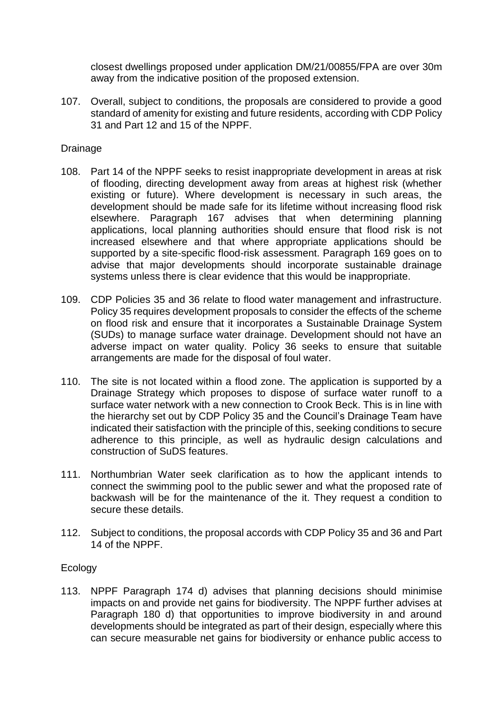closest dwellings proposed under application DM/21/00855/FPA are over 30m away from the indicative position of the proposed extension.

107. Overall, subject to conditions, the proposals are considered to provide a good standard of amenity for existing and future residents, according with CDP Policy 31 and Part 12 and 15 of the NPPF.

#### Drainage

- 108. Part 14 of the NPPF seeks to resist inappropriate development in areas at risk of flooding, directing development away from areas at highest risk (whether existing or future). Where development is necessary in such areas, the development should be made safe for its lifetime without increasing flood risk elsewhere. Paragraph 167 advises that when determining planning applications, local planning authorities should ensure that flood risk is not increased elsewhere and that where appropriate applications should be supported by a site-specific flood-risk assessment. Paragraph 169 goes on to advise that major developments should incorporate sustainable drainage systems unless there is clear evidence that this would be inappropriate.
- 109. CDP Policies 35 and 36 relate to flood water management and infrastructure. Policy 35 requires development proposals to consider the effects of the scheme on flood risk and ensure that it incorporates a Sustainable Drainage System (SUDs) to manage surface water drainage. Development should not have an adverse impact on water quality. Policy 36 seeks to ensure that suitable arrangements are made for the disposal of foul water.
- 110. The site is not located within a flood zone. The application is supported by a Drainage Strategy which proposes to dispose of surface water runoff to a surface water network with a new connection to Crook Beck. This is in line with the hierarchy set out by CDP Policy 35 and the Council's Drainage Team have indicated their satisfaction with the principle of this, seeking conditions to secure adherence to this principle, as well as hydraulic design calculations and construction of SuDS features.
- 111. Northumbrian Water seek clarification as to how the applicant intends to connect the swimming pool to the public sewer and what the proposed rate of backwash will be for the maintenance of the it. They request a condition to secure these details.
- 112. Subject to conditions, the proposal accords with CDP Policy 35 and 36 and Part 14 of the NPPF.

## Ecology

113. NPPF Paragraph 174 d) advises that planning decisions should minimise impacts on and provide net gains for biodiversity. The NPPF further advises at Paragraph 180 d) that opportunities to improve biodiversity in and around developments should be integrated as part of their design, especially where this can secure measurable net gains for biodiversity or enhance public access to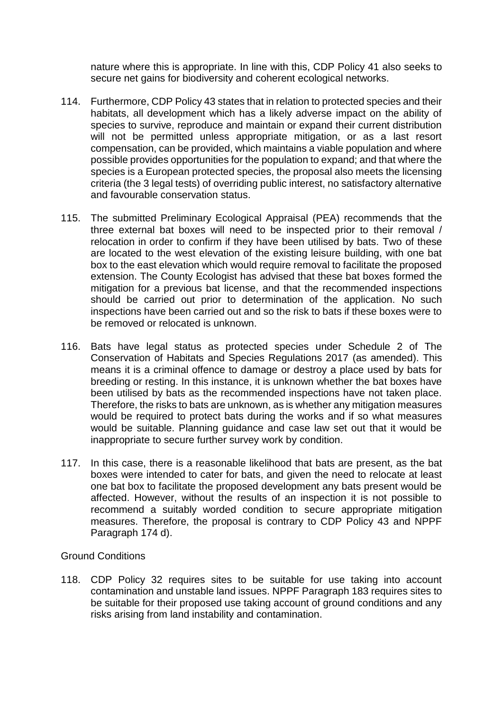nature where this is appropriate. In line with this, CDP Policy 41 also seeks to secure net gains for biodiversity and coherent ecological networks.

- 114. Furthermore, CDP Policy 43 states that in relation to protected species and their habitats, all development which has a likely adverse impact on the ability of species to survive, reproduce and maintain or expand their current distribution will not be permitted unless appropriate mitigation, or as a last resort compensation, can be provided, which maintains a viable population and where possible provides opportunities for the population to expand; and that where the species is a European protected species, the proposal also meets the licensing criteria (the 3 legal tests) of overriding public interest, no satisfactory alternative and favourable conservation status.
- 115. The submitted Preliminary Ecological Appraisal (PEA) recommends that the three external bat boxes will need to be inspected prior to their removal / relocation in order to confirm if they have been utilised by bats. Two of these are located to the west elevation of the existing leisure building, with one bat box to the east elevation which would require removal to facilitate the proposed extension. The County Ecologist has advised that these bat boxes formed the mitigation for a previous bat license, and that the recommended inspections should be carried out prior to determination of the application. No such inspections have been carried out and so the risk to bats if these boxes were to be removed or relocated is unknown.
- 116. Bats have legal status as protected species under Schedule 2 of The Conservation of Habitats and Species Regulations 2017 (as amended). This means it is a criminal offence to damage or destroy a place used by bats for breeding or resting. In this instance, it is unknown whether the bat boxes have been utilised by bats as the recommended inspections have not taken place. Therefore, the risks to bats are unknown, as is whether any mitigation measures would be required to protect bats during the works and if so what measures would be suitable. Planning guidance and case law set out that it would be inappropriate to secure further survey work by condition.
- 117. In this case, there is a reasonable likelihood that bats are present, as the bat boxes were intended to cater for bats, and given the need to relocate at least one bat box to facilitate the proposed development any bats present would be affected. However, without the results of an inspection it is not possible to recommend a suitably worded condition to secure appropriate mitigation measures. Therefore, the proposal is contrary to CDP Policy 43 and NPPF Paragraph 174 d).

## Ground Conditions

118. CDP Policy 32 requires sites to be suitable for use taking into account contamination and unstable land issues. NPPF Paragraph 183 requires sites to be suitable for their proposed use taking account of ground conditions and any risks arising from land instability and contamination.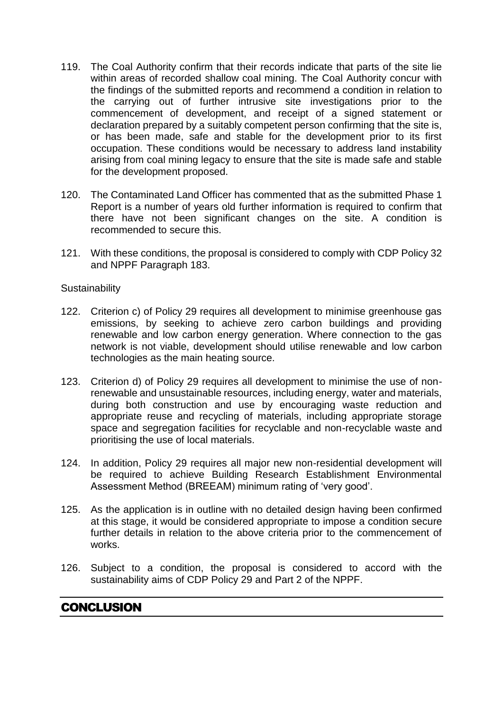- 119. The Coal Authority confirm that their records indicate that parts of the site lie within areas of recorded shallow coal mining. The Coal Authority concur with the findings of the submitted reports and recommend a condition in relation to the carrying out of further intrusive site investigations prior to the commencement of development, and receipt of a signed statement or declaration prepared by a suitably competent person confirming that the site is, or has been made, safe and stable for the development prior to its first occupation. These conditions would be necessary to address land instability arising from coal mining legacy to ensure that the site is made safe and stable for the development proposed.
- 120. The Contaminated Land Officer has commented that as the submitted Phase 1 Report is a number of years old further information is required to confirm that there have not been significant changes on the site. A condition is recommended to secure this.
- 121. With these conditions, the proposal is considered to comply with CDP Policy 32 and NPPF Paragraph 183.

#### **Sustainability**

- 122. Criterion c) of Policy 29 requires all development to minimise greenhouse gas emissions, by seeking to achieve zero carbon buildings and providing renewable and low carbon energy generation. Where connection to the gas network is not viable, development should utilise renewable and low carbon technologies as the main heating source.
- 123. Criterion d) of Policy 29 requires all development to minimise the use of nonrenewable and unsustainable resources, including energy, water and materials, during both construction and use by encouraging waste reduction and appropriate reuse and recycling of materials, including appropriate storage space and segregation facilities for recyclable and non-recyclable waste and prioritising the use of local materials.
- 124. In addition, Policy 29 requires all major new non-residential development will be required to achieve Building Research Establishment Environmental Assessment Method (BREEAM) minimum rating of 'very good'.
- 125. As the application is in outline with no detailed design having been confirmed at this stage, it would be considered appropriate to impose a condition secure further details in relation to the above criteria prior to the commencement of works.
- 126. Subject to a condition, the proposal is considered to accord with the sustainability aims of CDP Policy 29 and Part 2 of the NPPF.

## **CONCLUSION**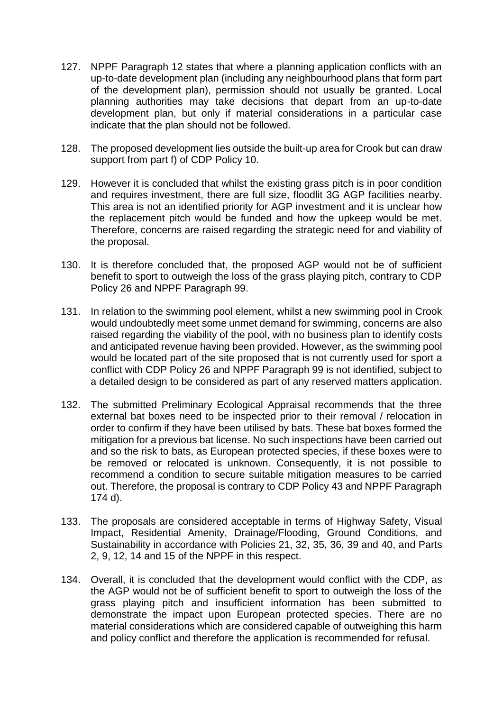- 127. NPPF Paragraph 12 states that where a planning application conflicts with an up-to-date development plan (including any neighbourhood plans that form part of the development plan), permission should not usually be granted. Local planning authorities may take decisions that depart from an up-to-date development plan, but only if material considerations in a particular case indicate that the plan should not be followed.
- 128. The proposed development lies outside the built-up area for Crook but can draw support from part f) of CDP Policy 10.
- 129. However it is concluded that whilst the existing grass pitch is in poor condition and requires investment, there are full size, floodlit 3G AGP facilities nearby. This area is not an identified priority for AGP investment and it is unclear how the replacement pitch would be funded and how the upkeep would be met. Therefore, concerns are raised regarding the strategic need for and viability of the proposal.
- 130. It is therefore concluded that, the proposed AGP would not be of sufficient benefit to sport to outweigh the loss of the grass playing pitch, contrary to CDP Policy 26 and NPPF Paragraph 99.
- 131. In relation to the swimming pool element, whilst a new swimming pool in Crook would undoubtedly meet some unmet demand for swimming, concerns are also raised regarding the viability of the pool, with no business plan to identify costs and anticipated revenue having been provided. However, as the swimming pool would be located part of the site proposed that is not currently used for sport a conflict with CDP Policy 26 and NPPF Paragraph 99 is not identified, subject to a detailed design to be considered as part of any reserved matters application.
- 132. The submitted Preliminary Ecological Appraisal recommends that the three external bat boxes need to be inspected prior to their removal / relocation in order to confirm if they have been utilised by bats. These bat boxes formed the mitigation for a previous bat license. No such inspections have been carried out and so the risk to bats, as European protected species, if these boxes were to be removed or relocated is unknown. Consequently, it is not possible to recommend a condition to secure suitable mitigation measures to be carried out. Therefore, the proposal is contrary to CDP Policy 43 and NPPF Paragraph 174 d).
- 133. The proposals are considered acceptable in terms of Highway Safety, Visual Impact, Residential Amenity, Drainage/Flooding, Ground Conditions, and Sustainability in accordance with Policies 21, 32, 35, 36, 39 and 40, and Parts 2, 9, 12, 14 and 15 of the NPPF in this respect.
- 134. Overall, it is concluded that the development would conflict with the CDP, as the AGP would not be of sufficient benefit to sport to outweigh the loss of the grass playing pitch and insufficient information has been submitted to demonstrate the impact upon European protected species. There are no material considerations which are considered capable of outweighing this harm and policy conflict and therefore the application is recommended for refusal.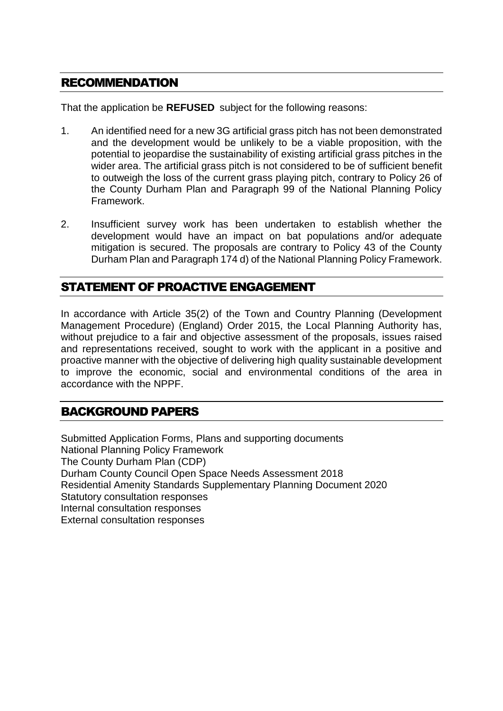## RECOMMENDATION

That the application be **REFUSED** subject for the following reasons:

- 1. An identified need for a new 3G artificial grass pitch has not been demonstrated and the development would be unlikely to be a viable proposition, with the potential to jeopardise the sustainability of existing artificial grass pitches in the wider area. The artificial grass pitch is not considered to be of sufficient benefit to outweigh the loss of the current grass playing pitch, contrary to Policy 26 of the County Durham Plan and Paragraph 99 of the National Planning Policy Framework.
- 2. Insufficient survey work has been undertaken to establish whether the development would have an impact on bat populations and/or adequate mitigation is secured. The proposals are contrary to Policy 43 of the County Durham Plan and Paragraph 174 d) of the National Planning Policy Framework.

## STATEMENT OF PROACTIVE ENGAGEMENT

In accordance with Article 35(2) of the Town and Country Planning (Development Management Procedure) (England) Order 2015, the Local Planning Authority has, without prejudice to a fair and objective assessment of the proposals, issues raised and representations received, sought to work with the applicant in a positive and proactive manner with the objective of delivering high quality sustainable development to improve the economic, social and environmental conditions of the area in accordance with the NPPF.

## BACKGROUND PAPERS

Submitted Application Forms, Plans and supporting documents National Planning Policy Framework The County Durham Plan (CDP) Durham County Council Open Space Needs Assessment 2018 Residential Amenity Standards Supplementary Planning Document 2020 Statutory consultation responses Internal consultation responses External consultation responses